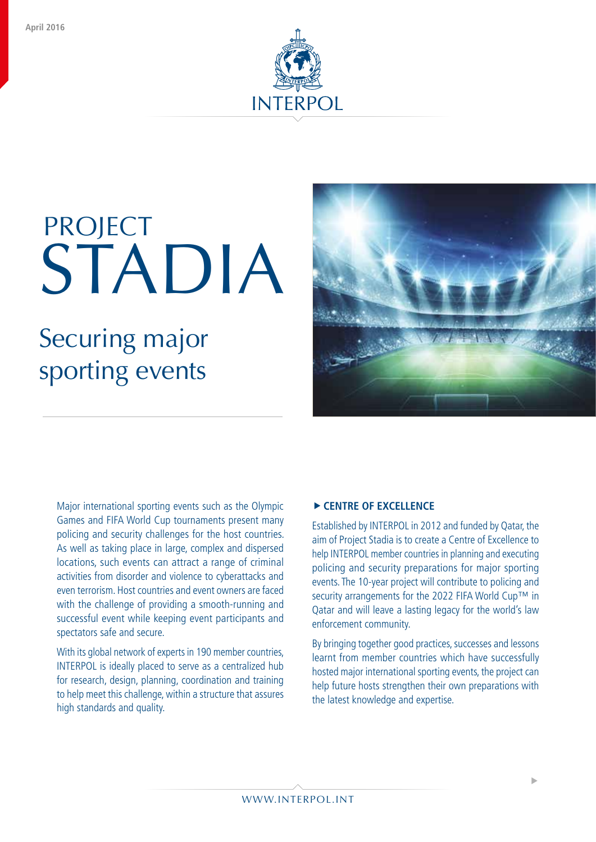

# STADIA PROJECT

## Securing major sporting events



Major international sporting events such as the Olympic Games and FIFA World Cup tournaments present many policing and security challenges for the host countries. As well as taking place in large, complex and dispersed locations, such events can attract a range of criminal activities from disorder and violence to cyberattacks and even terrorism. Host countries and event owners are faced with the challenge of providing a smooth-running and successful event while keeping event participants and spectators safe and secure.

With its global network of experts in 190 member countries, INTERPOL is ideally placed to serve as a centralized hub for research, design, planning, coordination and training to help meet this challenge, within a structure that assures high standards and quality.

### **FIGURE OF EXCELLENCE**

Established by INTERPOL in 2012 and funded by Qatar, the aim of Project Stadia is to create a Centre of Excellence to help INTERPOL member countries in planning and executing policing and security preparations for major sporting events. The 10-year project will contribute to policing and security arrangements for the 2022 FIFA World Cup™ in Qatar and will leave a lasting legacy for the world's law enforcement community.

By bringing together good practices, successes and lessons learnt from member countries which have successfully hosted major international sporting events, the project can help future hosts strengthen their own preparations with the latest knowledge and expertise.